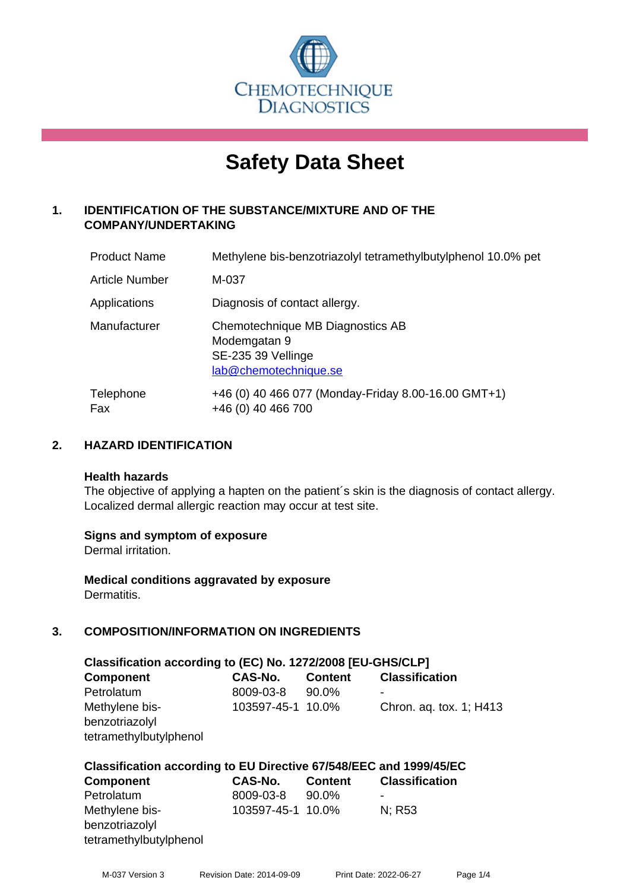

# **Safety Data Sheet**

# **1. IDENTIFICATION OF THE SUBSTANCE/MIXTURE AND OF THE COMPANY/UNDERTAKING**

| <b>Product Name</b>   | Methylene bis-benzotriazolyl tetramethylbutylphenol 10.0% pet                                   |
|-----------------------|-------------------------------------------------------------------------------------------------|
| <b>Article Number</b> | M-037                                                                                           |
| Applications          | Diagnosis of contact allergy.                                                                   |
| Manufacturer          | Chemotechnique MB Diagnostics AB<br>Modemgatan 9<br>SE-235 39 Vellinge<br>lab@chemotechnique.se |
| Telephone<br>Fax      | +46 (0) 40 466 077 (Monday-Friday 8.00-16.00 GMT+1)<br>+46 (0) 40 466 700                       |

# **2. HAZARD IDENTIFICATION**

#### **Health hazards**

The objective of applying a hapten on the patient's skin is the diagnosis of contact allergy. Localized dermal allergic reaction may occur at test site.

# **Signs and symptom of exposure**

Dermal irritation.

**Medical conditions aggravated by exposure** Dermatitis.

# **3. COMPOSITION/INFORMATION ON INGREDIENTS**

| Classification according to (EC) No. 1272/2008 [EU-GHS/CLP] |                   |                |                         |  |  |  |
|-------------------------------------------------------------|-------------------|----------------|-------------------------|--|--|--|
| <b>Component</b>                                            | CAS-No.           | <b>Content</b> | <b>Classification</b>   |  |  |  |
| Petrolatum                                                  | 8009-03-8         | 90.0%          |                         |  |  |  |
| Methylene bis-<br>benzotriazolyl<br>tetramethylbutylphenol  | 103597-45-1 10.0% |                | Chron. ag. tox. 1; H413 |  |  |  |

# **Classification according to EU Directive 67/548/EEC and 1999/45/EC**

| <b>Component</b>                 | CAS-No.           | <b>Content</b> | <b>Classification</b> |
|----------------------------------|-------------------|----------------|-----------------------|
| Petrolatum                       | 8009-03-8         | 90.0%          | -                     |
| Methylene bis-<br>benzotriazolyl | 103597-45-1 10.0% |                | N: R53                |
| tetramethylbutylphenol           |                   |                |                       |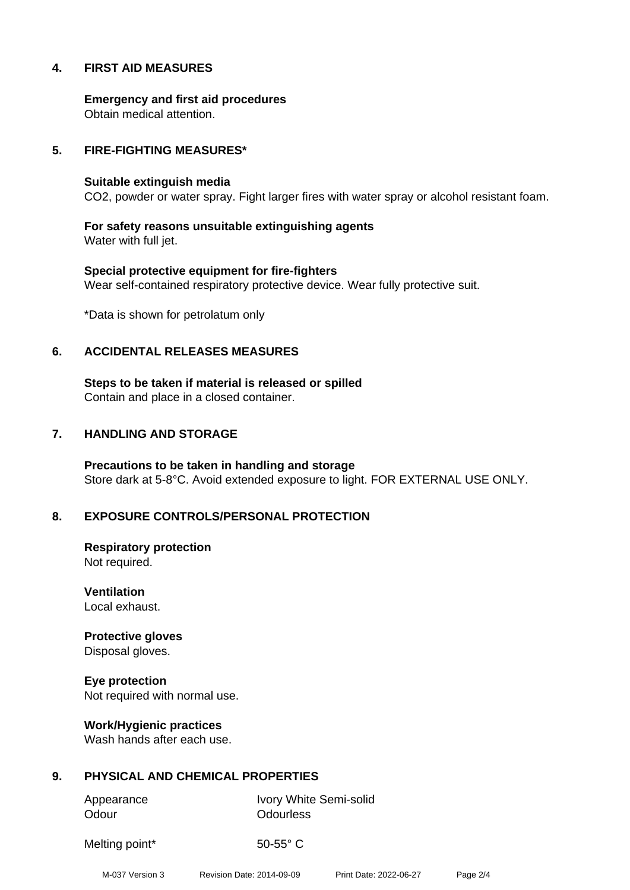# **4. FIRST AID MEASURES**

**Emergency and first aid procedures** Obtain medical attention.

# **5. FIRE-FIGHTING MEASURES\***

#### **Suitable extinguish media**

CO2, powder or water spray. Fight larger fires with water spray or alcohol resistant foam.

**For safety reasons unsuitable extinguishing agents** Water with full jet.

**Special protective equipment for fire-fighters** Wear self-contained respiratory protective device. Wear fully protective suit.

\*Data is shown for petrolatum only

### **6. ACCIDENTAL RELEASES MEASURES**

**Steps to be taken if material is released or spilled** Contain and place in a closed container.

# **7. HANDLING AND STORAGE**

**Precautions to be taken in handling and storage** Store dark at 5-8°C. Avoid extended exposure to light. FOR EXTERNAL USE ONLY.

# **8. EXPOSURE CONTROLS/PERSONAL PROTECTION**

**Respiratory protection** Not required.

**Ventilation** Local exhaust.

**Protective gloves** Disposal gloves.

**Eye protection** Not required with normal use.

**Work/Hygienic practices** Wash hands after each use.

# **9. PHYSICAL AND CHEMICAL PROPERTIES**

Odour **Odourless** 

Appearance Ivory White Semi-solid

Melting point\* 50-55° C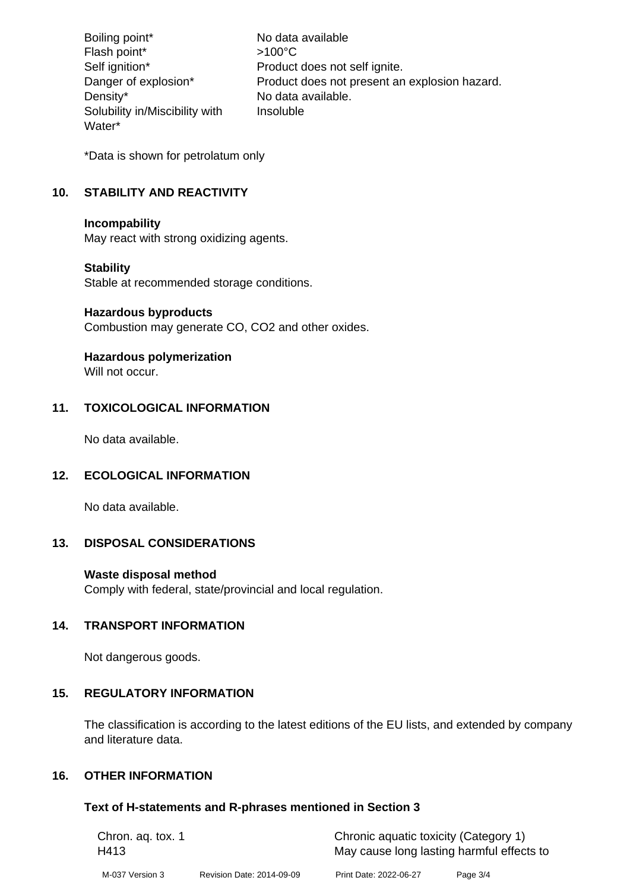Boiling point\* No data available Flash point\*  $>100^{\circ}$ C Self ignition\* Product does not self ignite. Danger of explosion\* Product does not present an explosion hazard. Density\* No data available. Solubility in/Miscibility with Water\* Insoluble

\*Data is shown for petrolatum only

# **10. STABILITY AND REACTIVITY**

### **Incompability**

May react with strong oxidizing agents.

# **Stability**

Stable at recommended storage conditions.

### **Hazardous byproducts**

Combustion may generate CO, CO2 and other oxides.

# **Hazardous polymerization**

Will not occur.

# **11. TOXICOLOGICAL INFORMATION**

No data available.

# **12. ECOLOGICAL INFORMATION**

No data available.

# **13. DISPOSAL CONSIDERATIONS**

# **Waste disposal method**

Comply with federal, state/provincial and local regulation.

# **14. TRANSPORT INFORMATION**

Not dangerous goods.

# **15. REGULATORY INFORMATION**

The classification is according to the latest editions of the EU lists, and extended by company and literature data.

# **16. OTHER INFORMATION**

# **Text of H-statements and R-phrases mentioned in Section 3**

| Chron. ag. tox. 1 |                           | Chronic aquatic toxicity (Category 1)     |          |  |
|-------------------|---------------------------|-------------------------------------------|----------|--|
| H413              |                           | May cause long lasting harmful effects to |          |  |
| M-037 Version 3   | Revision Date: 2014-09-09 | Print Date: 2022-06-27                    | Page 3/4 |  |